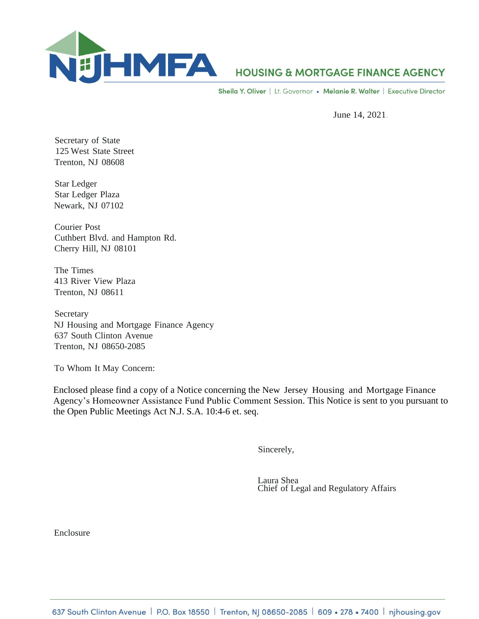

## **HOUSING & MORTGAGE FINANCE AGENCY**

Sheila Y. Oliver | Lt. Governor • Melanie R. Walter | Executive Director

June 14, 2021.

Secretary of State 125 West State Street Trenton, NJ 08608

Star Ledger Star Ledger Plaza Newark, NJ 07102

Courier Post Cuthbert Blvd. and Hampton Rd. Cherry Hill, NJ 08101

The Times 413 River View Plaza Trenton, NJ 08611

Secretary NJ Housing and Mortgage Finance Agency 637 South Clinton Avenue Trenton, NJ 08650-2085

To Whom It May Concern:

Enclosed please find a copy of a Notice concerning the New Jersey Housing and Mortgage Finance Agency's Homeowner Assistance Fund Public Comment Session. This Notice is sent to you pursuant to the Open Public Meetings Act N.J. S.A. 10:4-6 et. seq.

Sincerely,

Laura Shea Chief of Legal and Regulatory Affairs

Enclosure

637 South Clinton Avenue | P.O. Box 18550 | Trenton, NJ 08650-2085 | 609 • 278 • 7400 | njhousing.gov